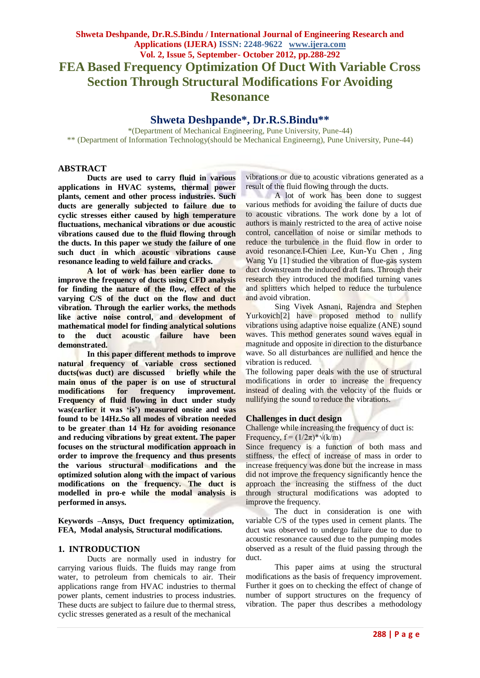# **Shweta Deshpande\*, Dr.R.S.Bindu\*\***

\*(Department of Mechanical Engineering, Pune University, Pune-44) \*\* (Department of Information Technology(should be Mechanical Engineerng), Pune University, Pune-44)

# **ABSTRACT**

**Ducts are used to carry fluid in various applications in HVAC systems, thermal power plants, cement and other process industries. Such ducts are generally subjected to failure due to cyclic stresses either caused by high temperature fluctuations, mechanical vibrations or due acoustic vibrations caused due to the fluid flowing through the ducts. In this paper we study the failure of one such duct in which acoustic vibrations cause resonance leading to weld failure and cracks.**

**A lot of work has been earlier done to improve the frequency of ducts using CFD analysis for finding the nature of the flow, effect of the varying C/S of the duct on the flow and duct vibration. Through the earlier works, the methods like active noise control, and development of mathematical model for finding analytical solutions to the duct acoustic failure have been demonstrated.**

**In this paper different methods to improve natural frequency of variable cross sectioned ducts(was duct) are discussed briefly while the main onus of the paper is on use of structural modifications for frequency improvement. Frequency of fluid flowing in duct under study was(earlier it was 'is') measured onsite and was found to be 14Hz.So all modes of vibration needed to be greater than 14 Hz for avoiding resonance and reducing vibrations by great extent. The paper focuses on the structural modification approach in order to improve the frequency and thus presents the various structural modifications and the optimized solution along with the impact of various modifications on the frequency. The duct is modelled in pro-e while the modal analysis is performed in ansys.**

**Keywords –Ansys, Duct frequency optimization, FEA, Modal analysis, Structural modifications.**

# **1. INTRODUCTION**

Ducts are normally used in industry for carrying various fluids. The fluids may range from water, to petroleum from chemicals to air. Their applications range from HVAC industries to thermal power plants, cement industries to process industries. These ducts are subject to failure due to thermal stress, cyclic stresses generated as a result of the mechanical

vibrations or due to acoustic vibrations generated as a result of the fluid flowing through the ducts.

A lot of work has been done to suggest various methods for avoiding the failure of ducts due to acoustic vibrations. The work done by a lot of authors is mainly restricted to the area of active noise control, cancellation of noise or similar methods to reduce the turbulence in the fluid flow in order to avoid resonance.I-Chien Lee, Kun-Yu Chen , Jing Wang Yu [1] studied the vibration of flue-gas system duct downstream the induced draft fans. Through their research they introduced the modified turning vanes and splitters which helped to reduce the turbulence and avoid vibration.

Sing Vivek Asnani, Rajendra and Stephen Yurkovich<sup>[2]</sup> have proposed method to nullify vibrations using adaptive noise equalize (ANE) sound waves. This method generates sound waves equal in magnitude and opposite in direction to the disturbance wave. So all disturbances are nullified and hence the vibration is reduced.

The following paper deals with the use of structural modifications in order to increase the frequency instead of dealing with the velocity of the fluids or nullifying the sound to reduce the vibrations.

### **Challenges in duct design**

Challenge while increasing the frequency of duct is: Frequency,  $f = (1/2\pi)^* \sqrt{k/m}$ 

Since frequency is a function of both mass and stiffness, the effect of increase of mass in order to increase frequency was done but the increase in mass did not improve the frequency significantly hence the approach the increasing the stiffness of the duct through structural modifications was adopted to improve the frequency.

The duct in consideration is one with variable C/S of the types used in cement plants. The duct was observed to undergo failure due to due to acoustic resonance caused due to the pumping modes observed as a result of the fluid passing through the duct.

This paper aims at using the structural modifications as the basis of frequency improvement. Further it goes on to checking the effect of change of number of support structures on the frequency of vibration. The paper thus describes a methodology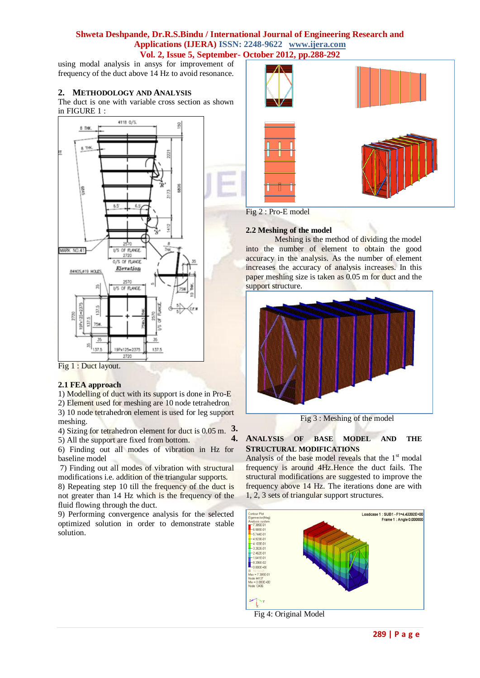# **Shweta Deshpande, Dr.R.S.Bindu / International Journal of Engineering Research and Applications (IJERA) ISSN: 2248-9622 www.ijera.com Vol. 2, Issue 5, September- October 2012, pp.288-292**

using modal analysis in ansys for improvement of frequency of the duct above 14 Hz to avoid resonance.

# **2. METHODOLOGY AND ANALYSIS**

The duct is one with variable cross section as shown in FIGURE 1 :



Fig 1 : Duct layout.

### **2.1 FEA approach**

1) Modelling of duct with its support is done in Pro-E

2) Element used for meshing are 10 node tetrahedron 3) 10 node tetrahedron element is used for leg support meshing.

4) Sizing for tetrahedron element for duct is 0.05 m. **3.**

5) All the support are fixed from bottom. 6) Finding out all modes of vibration in Hz for

baseline model 7) Finding out all modes of vibration with structural

modifications i.e. addition of the triangular supports. 8) Repeating step 10 till the frequency of the duct is not greater than 14 Hz which is the frequency of the

fluid flowing through the duct. 9) Performing convergence analysis for the selected optimized solution in order to demonstrate stable solution.



Fig 2 : Pro-E model

### **2.2 Meshing of the model**

Meshing is the method of dividing the model into the number of element to obtain the good accuracy in the analysis. As the number of element increases the accuracy of analysis increases. In this paper meshing size is taken as 0.05 m for duct and the support structure.



Fig 3 : Meshing of the model

# **4. ANALYSIS OF BASE MODEL AND THE STRUCTURAL MODIFICATIONS**

Analysis of the base model reveals that the  $1<sup>st</sup>$  modal frequency is around 4Hz.Hence the duct fails. The structural modifications are suggested to improve the frequency above 14 Hz. The iterations done are with 1, 2, 3 sets of triangular support structures.



Fig 4: Original Model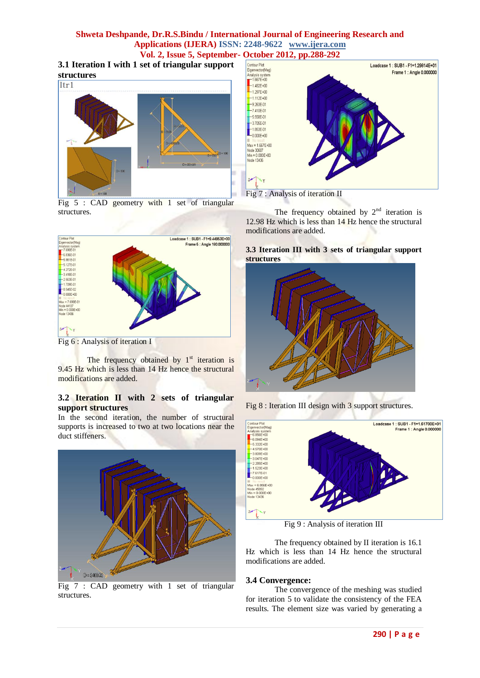# **Shweta Deshpande, Dr.R.S.Bindu / International Journal of Engineering Research and Applications (IJERA) ISSN: 2248-9622 www.ijera.com**

**3.1 Iteration I with 1 set of triangular support** 



Fig 5 : CAD geometry with 1 set of triangular structures.



Fig 6 : Analysis of iteration I

The frequency obtained by  $1<sup>st</sup>$  iteration is 9.45 Hz which is less than 14 Hz hence the structural modifications are added.

# **3.2 Iteration II with 2 sets of triangular support structures**

In the second iteration, the number of structural supports is increased to two at two locations near the duct stiffeners.



Fig 7 : CAD geometry with 1 set of triangular structures.



The frequency obtained by  $2<sup>nd</sup>$  iteration is 12.98 Hz which is less than 14 Hz hence the structural modifications are added.

## **3.3 Iteration III with 3 sets of triangular support structures**







Fig 9 : Analysis of iteration III

The frequency obtained by II iteration is 16.1 Hz which is less than 14 Hz hence the structural modifications are added.

# **3.4 Convergence:**

The convergence of the meshing was studied for iteration 5 to validate the consistency of the FEA results. The element size was varied by generating a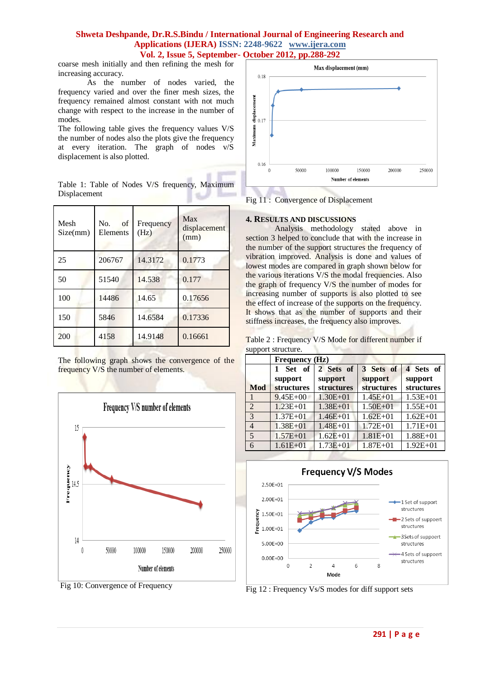# **Shweta Deshpande, Dr.R.S.Bindu / International Journal of Engineering Research and Applications (IJERA) ISSN: 2248-9622 www.ijera.com Vol. 2, Issue 5, September- October 2012, pp.288-292**

coarse mesh initially and then refining the mesh for increasing accuracy.

As the number of nodes varied, the frequency varied and over the finer mesh sizes, the frequency remained almost constant with not much change with respect to the increase in the number of modes.

The following table gives the frequency values V/S the number of nodes also the plots give the frequency at every iteration. The graph of nodes v/S displacement is also plotted.

| Mesh<br>Size(mm) | of<br>No.<br>Elements | Frequency<br>(Hz) | Max<br>displacement<br>(mm) |
|------------------|-----------------------|-------------------|-----------------------------|
| 25               | 206767                | 14.3172           | 0.1773                      |
| 50               | 51540                 | 14.538            |                             |

Table 1: Table of Nodes V/S frequency, Maximum **Displacement** 

| 25  | 206767 | 14.3172 | 0.1773  |
|-----|--------|---------|---------|
| 50  | 51540  | 14.538  | 0.177   |
| 100 | 14486  | 14.65   | 0.17656 |
| 150 | 5846   | 14.6584 | 0.17336 |
| 200 | 4158   | 14.9148 | 0.16661 |

The following graph shows the convergence of the frequency V/S the number of elements.



Fig 10: Convergence of Frequency



Fig 11 : Convergence of Displacement

### **4. RESULTS AND DISCUSSIONS**

Analysis methodology stated above in section 3 helped to conclude that with the increase in the number of the support structures the frequency of vibration improved. Analysis is done and values of lowest modes are compared in graph shown below for the various iterations V/S the modal frequencies. Also the graph of frequency V/S the number of modes for increasing number of supports is also plotted to see the effect of increase of the supports on the frequency. It shows that as the number of supports and their stiffness increases, the frequency also improves.

Table 2 : Frequency V/S Mode for different number if support structure.

|                | Frequency (Hz)    |                      |                      |                      |  |  |
|----------------|-------------------|----------------------|----------------------|----------------------|--|--|
|                | Set of<br>support | 2 Sets of<br>support | 3 Sets of<br>support | 4 Sets of<br>support |  |  |
| <b>Mod</b>     | <b>structures</b> | <b>structures</b>    | structures           | structures           |  |  |
|                | $9.45E + 00$      | $1.30E + 01$         | $1.45E + 01$         | $1.53E + 01$         |  |  |
| $\overline{2}$ | $1.23E + 01$      | $1.38E + 01$         | $1.50E + 01$         | $1.55E + 01$         |  |  |
| 3              | $1.37E + 01$      | $1.46E + 01$         | $1.62E + 01$         | $1.62E + 01$         |  |  |
| $\overline{4}$ | $1.38E + 01$      | $1.48E + 01$         | $1.72E + 01$         | $1.71E + 01$         |  |  |
| 5              | $1.57E + 01$      | $1.62E + 01$         | $1.81E + 01$         | $1.88E + 01$         |  |  |
| 6              | $1.61E + 01$      | $1.73E + 01$         | $1.87E + 01$         | $1.92E + 01$         |  |  |



Fig 12 : Frequency Vs/S modes for diff support sets